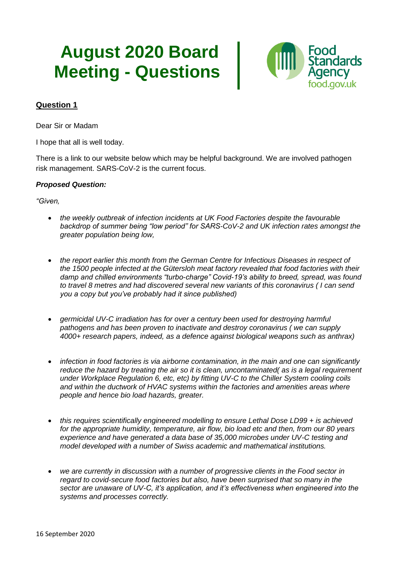# **August 2020 Board Meeting - Questions**



## **Question 1**

Dear Sir or Madam

I hope that all is well today.

There is a link to our website below which may be helpful background. We are involved pathogen risk management. SARS-CoV-2 is the current focus.

#### *Proposed Question:*

*"Given,*

- *the weekly outbreak of infection incidents at UK Food Factories despite the favourable backdrop of summer being "low period" for SARS-CoV-2 and UK infection rates amongst the greater population being low,*
- *the report earlier this month from the German Centre for Infectious Diseases in respect of the 1500 people infected at the Gütersloh meat factory revealed that food factories with their damp and chilled environments "turbo-charge" Covid-19's ability to breed, spread, was found to travel 8 metres and had discovered several new variants of this coronavirus ( I can send you a copy but you've probably had it since published)*
- *germicidal UV-C irradiation has for over a century been used for destroying harmful pathogens and has been proven to inactivate and destroy coronavirus ( we can supply 4000+ research papers, indeed, as a defence against biological weapons such as anthrax)*
- *infection in food factories is via airborne contamination, in the main and one can significantly reduce the hazard by treating the air so it is clean, uncontaminated( as is a legal requirement under Workplace Regulation 6, etc, etc) by fitting UV-C to the Chiller System cooling coils and within the ductwork of HVAC systems within the factories and amenities areas where people and hence bio load hazards, greater.*
- *this requires scientifically engineered modelling to ensure Lethal Dose LD99 + is achieved for the appropriate humidity, temperature, air flow, bio load etc and then, from our 80 years experience and have generated a data base of 35,000 microbes under UV-C testing and model developed with a number of Swiss academic and mathematical institutions.*
- *we are currently in discussion with a number of progressive clients in the Food sector in regard to covid-secure food factories but also, have been surprised that so many in the sector are unaware of UV-C, it's application, and it's effectiveness when engineered into the systems and processes correctly.*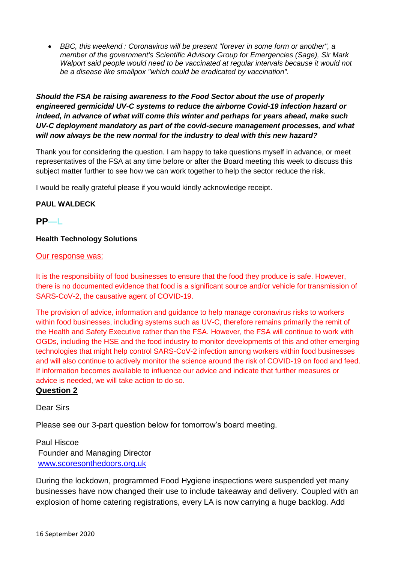• *BBC, this weekend : Coronavirus will be present "forever in some form or another", a member of the government's Scientific Advisory Group for Emergencies (Sage), Sir Mark Walport said people would need to be vaccinated at regular intervals because it would not be a disease like smallpox "which could be eradicated by vaccination".*

## *Should the FSA be raising awareness to the Food Sector about the use of properly engineered germicidal UV-C systems to reduce the airborne Covid-19 infection hazard or indeed, in advance of what will come this winter and perhaps for years ahead, make such UV-C deployment mandatory as part of the covid-secure management processes, and what will now always be the new normal for the industry to deal with this new hazard?*

Thank you for considering the question. I am happy to take questions myself in advance, or meet representatives of the FSA at any time before or after the Board meeting this week to discuss this subject matter further to see how we can work together to help the sector reduce the risk.

I would be really grateful please if you would kindly acknowledge receipt.

## **PAUL WALDECK**

## **PP—L**

#### **Health Technology Solutions**

#### Our response was:

It is the responsibility of food businesses to ensure that the food they produce is safe. However, there is no documented evidence that food is a significant source and/or vehicle for transmission of SARS-CoV-2, the causative agent of COVID-19.

The provision of advice, information and guidance to help manage coronavirus risks to workers within food businesses, including systems such as UV-C, therefore remains primarily the remit of the Health and Safety Executive rather than the FSA. However, the FSA will continue to work with OGDs, including the HSE and the food industry to monitor developments of this and other emerging technologies that might help control SARS-CoV-2 infection among workers within food businesses and will also continue to actively monitor the science around the risk of COVID-19 on food and feed. If information becomes available to influence our advice and indicate that further measures or advice is needed, we will take action to do so.

## **Question 2**

## Dear Sirs

Please see our 3-part question below for tomorrow's board meeting.

Paul Hiscoe Founder and Managing Director www.scoresonthedoors.org.uk

During the lockdown, programmed Food Hygiene inspections were suspended yet many businesses have now changed their use to include takeaway and delivery. Coupled with an explosion of home catering registrations, every LA is now carrying a huge backlog. Add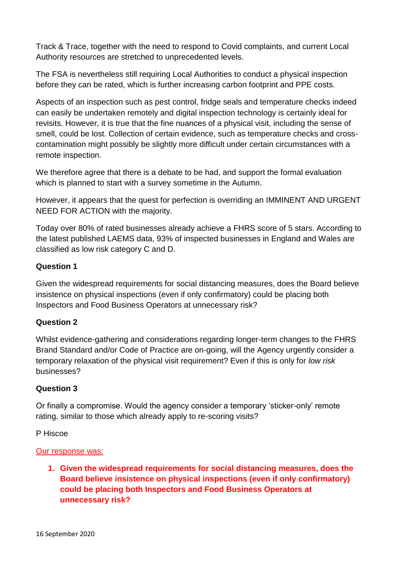Track & Trace, together with the need to respond to Covid complaints, and current Local Authority resources are stretched to unprecedented levels.

The FSA is nevertheless still requiring Local Authorities to conduct a physical inspection before they can be rated, which is further increasing carbon footprint and PPE costs.

Aspects of an inspection such as pest control, fridge seals and temperature checks indeed can easily be undertaken remotely and digital inspection technology is certainly ideal for revisits. However, it is true that the fine nuances of a physical visit, including the sense of smell, could be lost. Collection of certain evidence, such as temperature checks and crosscontamination might possibly be slightly more difficult under certain circumstances with a remote inspection.

We therefore agree that there is a debate to be had, and support the formal evaluation which is planned to start with a survey sometime in the Autumn.

However, it appears that the quest for perfection is overriding an IMMINENT AND URGENT NEED FOR ACTION with the majority.

Today over 80% of rated businesses already achieve a FHRS score of 5 stars. According to the latest published LAEMS data, 93% of inspected businesses in England and Wales are classified as low risk category C and D.

# **Question 1**

Given the widespread requirements for social distancing measures, does the Board believe insistence on physical inspections (even if only confirmatory) could be placing both Inspectors and Food Business Operators at unnecessary risk?

# **Question 2**

Whilst evidence-gathering and considerations regarding longer-term changes to the FHRS Brand Standard and/or Code of Practice are on-going, will the Agency urgently consider a temporary relaxation of the physical visit requirement? Even if this is only for *low risk* businesses?

# **Question 3**

Or finally a compromise. Would the agency consider a temporary 'sticker-only' remote rating, similar to those which already apply to re-scoring visits?

# P Hiscoe

# Our response was:

**1. Given the widespread requirements for social distancing measures, does the Board believe insistence on physical inspections (even if only confirmatory) could be placing both Inspectors and Food Business Operators at unnecessary risk?**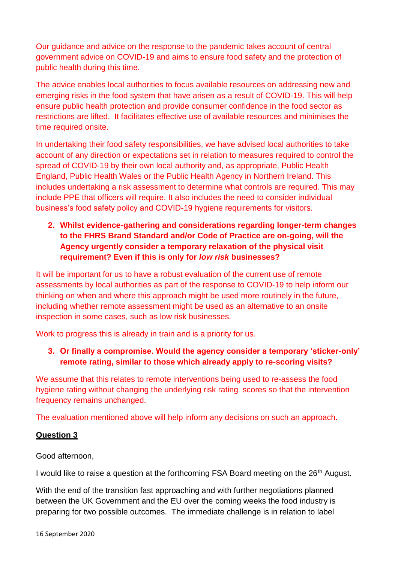Our guidance and advice on the response to the pandemic takes account of central government advice on COVID-19 and aims to ensure food safety and the protection of public health during this time.

The advice enables local authorities to focus available resources on addressing new and emerging risks in the food system that have arisen as a result of COVID-19. This will help ensure public health protection and provide consumer confidence in the food sector as restrictions are lifted. It facilitates effective use of available resources and minimises the time required onsite.

In undertaking their food safety responsibilities, we have advised local authorities to take account of any direction or expectations set in relation to measures required to control the spread of COVID-19 by their own local authority and, as appropriate, Public Health England, Public Health Wales or the Public Health Agency in Northern Ireland. This includes undertaking a risk assessment to determine what controls are required. This may include PPE that officers will require. It also includes the need to consider individual business's food safety policy and COVID-19 hygiene requirements for visitors.

# **2. Whilst evidence-gathering and considerations regarding longer-term changes to the FHRS Brand Standard and/or Code of Practice are on-going, will the Agency urgently consider a temporary relaxation of the physical visit requirement? Even if this is only for** *low risk* **businesses?**

It will be important for us to have a robust evaluation of the current use of remote assessments by local authorities as part of the response to COVID-19 to help inform our thinking on when and where this approach might be used more routinely in the future, including whether remote assessment might be used as an alternative to an onsite inspection in some cases, such as low risk businesses.

Work to progress this is already in train and is a priority for us.

# **3. Or finally a compromise. Would the agency consider a temporary 'sticker-only' remote rating, similar to those which already apply to re-scoring visits?**

We assume that this relates to remote interventions being used to re-assess the food hygiene rating without changing the underlying risk rating scores so that the intervention frequency remains unchanged.

The evaluation mentioned above will help inform any decisions on such an approach.

# **Question 3**

# Good afternoon,

I would like to raise a question at the forthcoming FSA Board meeting on the 26<sup>th</sup> August.

With the end of the transition fast approaching and with further negotiations planned between the UK Government and the EU over the coming weeks the food industry is preparing for two possible outcomes. The immediate challenge is in relation to label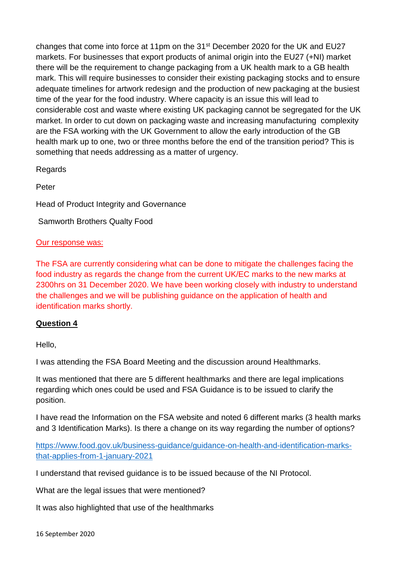changes that come into force at 11pm on the 31st December 2020 for the UK and EU27 markets. For businesses that export products of animal origin into the EU27 (+NI) market there will be the requirement to change packaging from a UK health mark to a GB health mark. This will require businesses to consider their existing packaging stocks and to ensure adequate timelines for artwork redesign and the production of new packaging at the busiest time of the year for the food industry. Where capacity is an issue this will lead to considerable cost and waste where existing UK packaging cannot be segregated for the UK market. In order to cut down on packaging waste and increasing manufacturing complexity are the FSA working with the UK Government to allow the early introduction of the GB health mark up to one, two or three months before the end of the transition period? This is something that needs addressing as a matter of urgency.

Regards

Peter

Head of Product Integrity and Governance

Samworth Brothers Qualty Food

# Our response was:

The FSA are currently considering what can be done to mitigate the challenges facing the food industry as regards the change from the current UK/EC marks to the new marks at 2300hrs on 31 December 2020. We have been working closely with industry to understand the challenges and we will be publishing guidance on the application of health and identification marks shortly.

# **Question 4**

Hello,

I was attending the FSA Board Meeting and the discussion around Healthmarks.

It was mentioned that there are 5 different healthmarks and there are legal implications regarding which ones could be used and FSA Guidance is to be issued to clarify the position.

I have read the Information on the FSA website and noted 6 different marks (3 health marks and 3 Identification Marks). Is there a change on its way regarding the number of options?

[https://www.food.gov.uk/business-guidance/guidance-on-health-and-identification-marks](https://www.food.gov.uk/business-guidance/guidance-on-health-and-identification-marks-that-applies-from-1-january-2021)[that-applies-from-1-january-2021](https://www.food.gov.uk/business-guidance/guidance-on-health-and-identification-marks-that-applies-from-1-january-2021)

I understand that revised guidance is to be issued because of the NI Protocol.

What are the legal issues that were mentioned?

It was also highlighted that use of the healthmarks